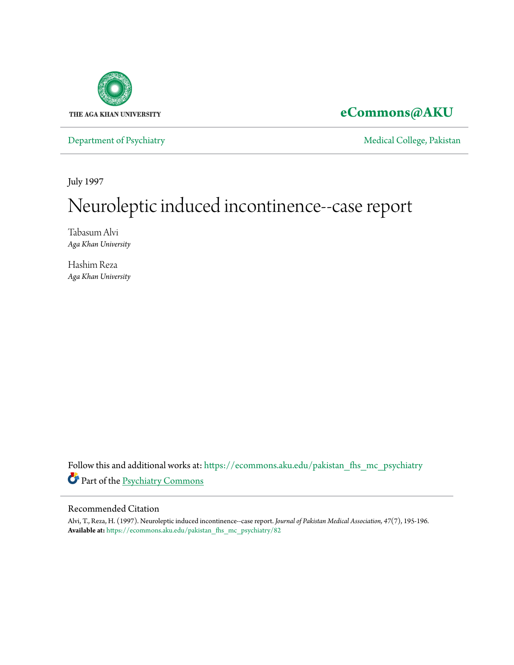

## **[eCommons@AKU](https://ecommons.aku.edu?utm_source=ecommons.aku.edu%2Fpakistan_fhs_mc_psychiatry%2F82&utm_medium=PDF&utm_campaign=PDFCoverPages)**

[Department of Psychiatry](https://ecommons.aku.edu/pakistan_fhs_mc_psychiatry?utm_source=ecommons.aku.edu%2Fpakistan_fhs_mc_psychiatry%2F82&utm_medium=PDF&utm_campaign=PDFCoverPages) and Theorem and Theorem and [Medical College, Pakistan](https://ecommons.aku.edu/pakistan_fhs_mc?utm_source=ecommons.aku.edu%2Fpakistan_fhs_mc_psychiatry%2F82&utm_medium=PDF&utm_campaign=PDFCoverPages)

July 1997

# Neuroleptic induced incontinence--case report

Tabasum Alvi *Aga Khan University*

Hashim Reza *Aga Khan University*

Follow this and additional works at: [https://ecommons.aku.edu/pakistan\\_fhs\\_mc\\_psychiatry](https://ecommons.aku.edu/pakistan_fhs_mc_psychiatry?utm_source=ecommons.aku.edu%2Fpakistan_fhs_mc_psychiatry%2F82&utm_medium=PDF&utm_campaign=PDFCoverPages) Part of the [Psychiatry Commons](http://network.bepress.com/hgg/discipline/704?utm_source=ecommons.aku.edu%2Fpakistan_fhs_mc_psychiatry%2F82&utm_medium=PDF&utm_campaign=PDFCoverPages)

#### Recommended Citation

Alvi, T., Reza, H. (1997). Neuroleptic induced incontinence--case report. *Journal of Pakistan Medical Association, 47*(7), 195-196. **Available at:** [https://ecommons.aku.edu/pakistan\\_fhs\\_mc\\_psychiatry/82](https://ecommons.aku.edu/pakistan_fhs_mc_psychiatry/82)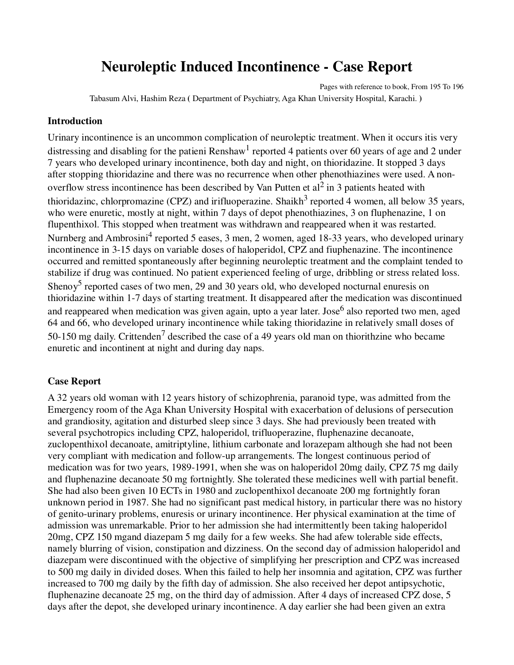# **Neuroleptic Induced Incontinence - Case Report**

Pages with reference to book, From 195 To 196 Tabasum Alvi, Hashim Reza **(** Department of Psychiatry, Aga Khan University Hospital, Karachi. **)**

#### **Introduction**

Urinary incontinence is an uncommon complication of neuroleptic treatment. When it occurs itis very distressing and disabling for the patieni Renshaw<sup>1</sup> reported 4 patients over 60 years of age and 2 under 7 years who developed urinary incontinence, both day and night, on thioridazine. It stopped 3 days after stopping thioridazine and there was no recurrence when other phenothiazines were used. A nonoverflow stress incontinence has been described by Van Putten et al<sup>2</sup> in 3 patients heated with thioridazinc, chlorpromazine (CPZ) and irifluoperazine. Shaikh<sup>3</sup> reported 4 women, all below 35 years, who were enuretic, mostly at night, within 7 days of depot phenothiazines, 3 on fluphenazine, 1 on flupenthixol. This stopped when treatment was withdrawn and reappeared when it was restarted. Nurnberg and Ambrosini<sup>4</sup> reported 5 eases, 3 men, 2 women, aged 18-33 years, who developed urinary incontinence in 3-15 days on variable doses of haloperidol, CPZ and fiuphenazine. The incontinence occurred and remitted spontaneously after beginning neuroleptic treatment and the complaint tended to stabilize if drug was continued. No patient experienced feeling of urge, dribbling or stress related loss. Shenoy<sup>5</sup> reported cases of two men, 29 and 30 years old, who developed nocturnal enuresis on thioridazine within 1-7 days of starting treatment. It disappeared after the medication was discontinued and reappeared when medication was given again, upto a year later. Jose<sup>6</sup> also reported two men, aged 64 and 66, who developed urinary incontinence while taking thioridazine in relatively small doses of 50-150 mg daily. Crittenden<sup>7</sup> described the case of a 49 years old man on thiorithzine who became enuretic and incontinent at night and during day naps.

#### **Case Report**

A 32 years old woman with 12 years history of schizophrenia, paranoid type, was admitted from the Emergency room of the Aga Khan University Hospital with exacerbation of delusions of persecution and grandiosity, agitation and disturbed sleep since 3 days. She had previously been treated with several psychotropics including CPZ, haloperidol, trifluoperazine, fluphenazine decanoate, zuclopenthixol decanoate, amitriptyline, lithium carbonate and lorazepam although she had not been very compliant with medication and follow-up arrangements. The longest continuous period of medication was for two years, 1989-1991, when she was on haloperidol 20mg daily, CPZ 75 mg daily and fluphenazine decanoate 50 mg fortnightly. She tolerated these medicines well with partial benefit. She had also been given 10 ECTs in 1980 and zuclopenthixol decanoate 200 mg fortnightly foran unknown period in 1987. She had no significant past medical history, in particular there was no history of genito-urinary problems, enuresis or urinary incontinence. Her physical examination at the time of admission was unremarkable. Prior to her admission she had intermittently been taking haloperidol 20mg, CPZ 150 mgand diazepam 5 mg daily for a few weeks. She had afew tolerable side effects, namely blurring of vision, constipation and dizziness. On the second day of admission haloperidol and diazepam were discontinued with the objective of simplifying her prescription and CPZ was increased to 500 mg daily in divided doses. When this failed to help her insomnia and agitation, CPZ was further increased to 700 mg daily by the fifth day of admission. She also received her depot antipsychotic, fluphenazine decanoate 25 mg, on the third day of admission. After 4 days of increased CPZ dose, 5 days after the depot, she developed urinary incontinence. A day earlier she had been given an extra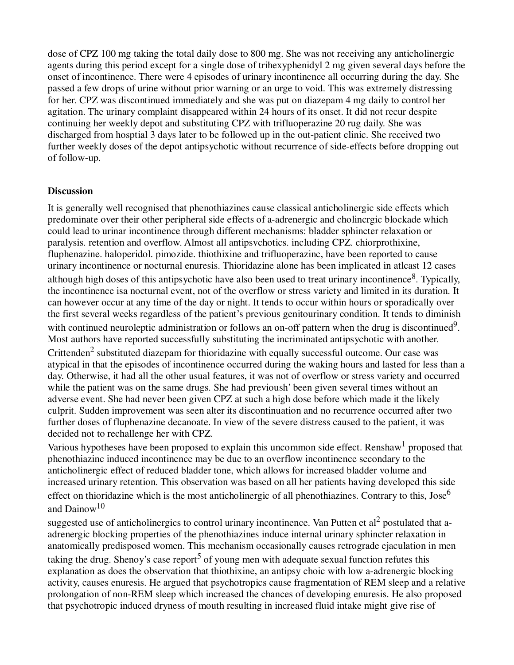dose of CPZ 100 mg taking the total daily dose to 800 mg. She was not receiving any anticholinergic agents during this period except for a single dose of trihexyphenidyl 2 mg given several days before the onset of incontinence. There were 4 episodes of urinary incontinence all occurring during the day. She passed a few drops of urine without prior warning or an urge to void. This was extremely distressing for her. CPZ was discontinued immediately and she was put on diazepam 4 mg daily to control her agitation. The urinary complaint disappeared within 24 hours of its onset. It did not recur despite continuing her weekly depot and substituting CPZ with trifluoperazine 20 rug daily. She was discharged from hosptial 3 days later to be followed up in the out-patient clinic. She received two further weekly doses of the depot antipsychotic without recurrence of side-effects before dropping out of follow-up.

#### **Discussion**

It is generally well recognised that phenothiazines cause classical anticholinergic side effects which predominate over their other peripheral side effects of a-adrenergic and cholincrgic blockade which could lead to urinar incontinence through different mechanisms: bladder sphincter relaxation or paralysis. retention and overflow. Almost all antipsvchotics. including CPZ. chiorprothixine, fluphenazine. haloperidol. pimozide. thiothixine and trifluoperazinc, have been reported to cause urinary incontinence or nocturnal enuresis. Thioridazine alone has been implicated in atlcast 12 cases although high doses of this antipsychotic have also been used to treat urinary incontinence<sup>8</sup>. Typically, the incontinence isa nocturnal event, not of the overflow or stress variety and limited in its duration. It can however occur at any time of the day or night. It tends to occur within hours or sporadically over the first several weeks regardless of the patient's previous genitourinary condition. It tends to diminish with continued neuroleptic administration or follows an on-off pattern when the drug is discontinued<sup>9</sup>. Most authors have reported successfully substituting the incriminated antipsychotic with another. Crittenden<sup>2</sup> substituted diazepam for thioridazine with equally successful outcome. Our case was atypical in that the episodes of incontinence occurred during the waking hours and lasted for less than a day. Otherwise, it had all the other usual features, it was not of overflow or stress variety and occurred while the patient was on the same drugs. She had previoush' been given several times without an adverse event. She had never been given CPZ at such a high dose before which made it the likely culprit. Sudden improvement was seen alter its discontinuation and no recurrence occurred after two further doses of fluphenazine decanoate. In view of the severe distress caused to the patient, it was decided not to rechallenge her with CPZ.

Various hypotheses have been proposed to explain this uncommon side effect. Renshaw<sup>1</sup> proposed that phenothiazinc induced incontinence may be due to an overflow incontinence secondary to the anticholinergic effect of reduced bladder tone, which allows for increased bladder volume and increased urinary retention. This observation was based on all her patients having developed this side effect on thioridazine which is the most anticholinergic of all phenothiazines. Contrary to this, Jose<sup>6</sup> and Dainow<sup>10</sup>

suggested use of anticholinergics to control urinary incontinence. Van Putten et al<sup>2</sup> postulated that aadrenergic blocking properties of the phenothiazines induce internal urinary sphincter relaxation in anatomically predisposed women. This mechanism occasionally causes retrograde ejaculation in men taking the drug. Shenoy's case report<sup>5</sup> of young men with adequate sexual function refutes this explanation as does the observation that thiothixine, an antipsy choic with low a-adrenergic blocking activity, causes enuresis. He argued that psychotropics cause fragmentation of REM sleep and a relative prolongation of non-REM sleep which increased the chances of developing enuresis. He also proposed that psychotropic induced dryness of mouth resulting in increased fluid intake might give rise of